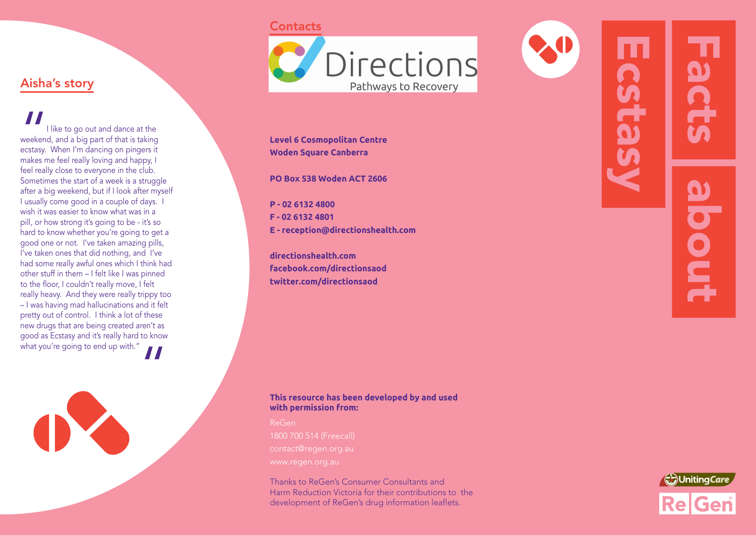### **Contacts**



**Level 6 Cosmopolitan Centre Woden Square Canberra**

**PO Box 538 Woden ACT 2606**

**P - 02 6132 4800 F - 02 6132 4801 E - reception@directionshealth.com**

**directionshealth.com facebook.com/directionsaod twitter.com/directionsaod**

cstass pout

### **This resource has been developed by and used with permission from:**

ReGen 1800 700 514 (Freecall)

Thanks to ReGen's Consumer Consultants and Harm Reduction Victoria for their contributions to the development of ReGen's drug information leaflets.



# Aisha's story

**A**<br>
weekend<br>
ecstasy.<br>
makes m I like to go out and dance at the weekend, and a big part of that is taking ecstasy. When I'm dancing on pingers it makes me feel really loving and happy, I feel really close to everyone in the club. Sometimes the start of a week is a struggle after a big weekend, but if I look after myself I usually come good in a couple of days. I wish it was easier to know what was in a pill, or how strong it's going to be - it's so hard to know whether you're going to get a good one or not. I've taken amazing pills, I've taken ones that did nothing, and I've had some really awful ones which I think had other stuff in them – I felt like I was pinned to the floor, I couldn't really move, I felt really heavy. And they were really trippy too – I was having mad hallucinations and it felt pretty out of control. I think a lot of these new drugs that are being created aren't as good as Ecstasy and it's really hard to know what you're going to end up with."